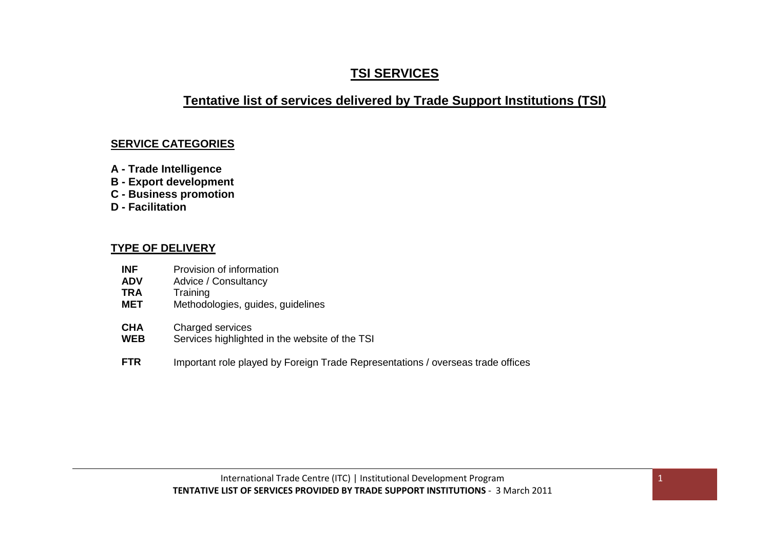# **TSI SERVICES**

## **Tentative list of services delivered by Trade Support Institutions (TSI)**

## **SERVICE CATEGORIES**

- **A - Trade Intelligence**
- **B - Export development**
- **C - Business promotion**
- **D - Facilitation**

#### **TYPE OF DELIVERY**

- **INF** Provision of information<br>**ADV** Advice / Consultancy
- **ADV** Advice / Consultancy<br> **TRA** Training
- **Training**
- **MET** Methodologies, guides, guidelines
- **CHA** Charged services
- **WEB** Services highlighted in the website of the TSI
- **FTR** Important role played by Foreign Trade Representations / overseas trade offices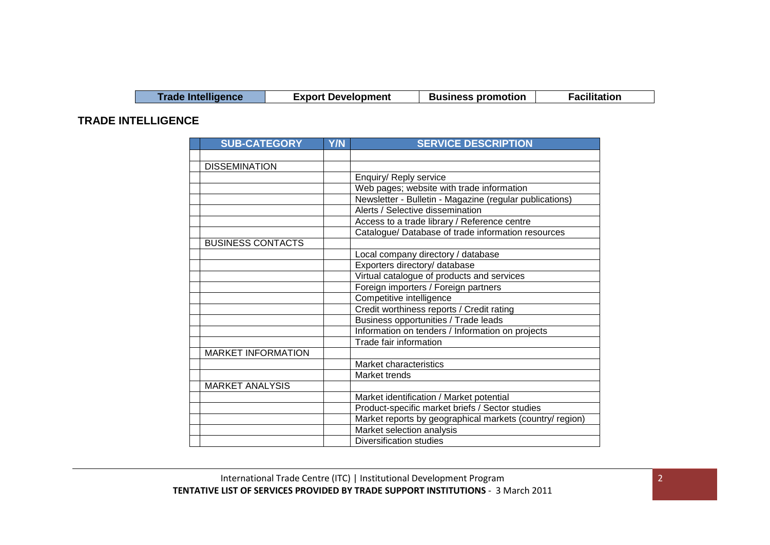#### **TRADE INTELLIGENCE**

| <b>SUB-CATEGORY</b>       | Y/N | <b>SERVICE DESCRIPTION</b>                               |
|---------------------------|-----|----------------------------------------------------------|
|                           |     |                                                          |
| <b>DISSEMINATION</b>      |     |                                                          |
|                           |     | Enquiry/ Reply service                                   |
|                           |     | Web pages; website with trade information                |
|                           |     | Newsletter - Bulletin - Magazine (regular publications)  |
|                           |     | Alerts / Selective dissemination                         |
|                           |     | Access to a trade library / Reference centre             |
|                           |     | Catalogue/ Database of trade information resources       |
| <b>BUSINESS CONTACTS</b>  |     |                                                          |
|                           |     | Local company directory / database                       |
|                           |     | Exporters directory/ database                            |
|                           |     | Virtual catalogue of products and services               |
|                           |     | Foreign importers / Foreign partners                     |
|                           |     | Competitive intelligence                                 |
|                           |     | Credit worthiness reports / Credit rating                |
|                           |     | Business opportunities / Trade leads                     |
|                           |     | Information on tenders / Information on projects         |
|                           |     | Trade fair information                                   |
| <b>MARKET INFORMATION</b> |     |                                                          |
|                           |     | Market characteristics                                   |
|                           |     | Market trends                                            |
| <b>MARKET ANALYSIS</b>    |     |                                                          |
|                           |     | Market identification / Market potential                 |
|                           |     | Product-specific market briefs / Sector studies          |
|                           |     | Market reports by geographical markets (country/ region) |
|                           |     | Market selection analysis                                |
|                           |     | <b>Diversification studies</b>                           |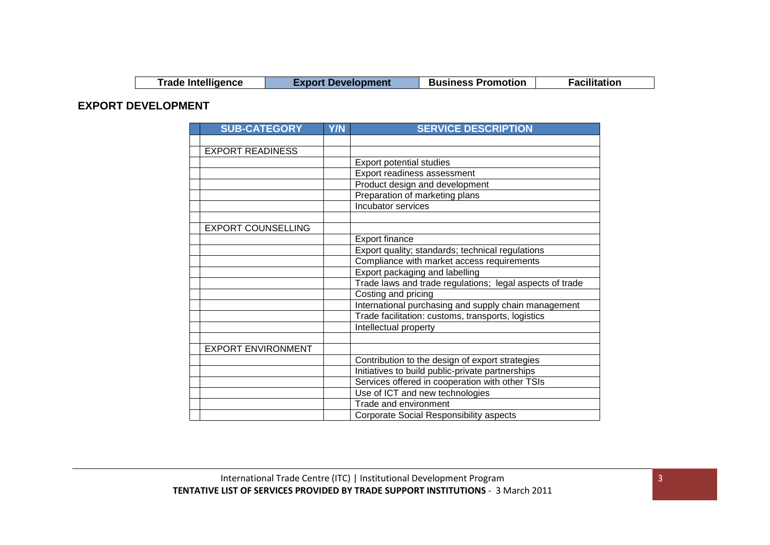| <b>Trade Intelligence</b> | <b>Export Development</b> | <b>Business Promotion</b> | <b>Facilitation</b> |
|---------------------------|---------------------------|---------------------------|---------------------|

### **EXPORT DEVELOPMENT**

| <b>SUB-CATEGORY</b>       | Y/N | <b>SERVICE DESCRIPTION</b>                               |
|---------------------------|-----|----------------------------------------------------------|
|                           |     |                                                          |
| <b>EXPORT READINESS</b>   |     |                                                          |
|                           |     | <b>Export potential studies</b>                          |
|                           |     | Export readiness assessment                              |
|                           |     | Product design and development                           |
|                           |     | Preparation of marketing plans                           |
|                           |     | Incubator services                                       |
|                           |     |                                                          |
| <b>EXPORT COUNSELLING</b> |     |                                                          |
|                           |     | <b>Export finance</b>                                    |
|                           |     | Export quality; standards; technical regulations         |
|                           |     | Compliance with market access requirements               |
|                           |     | Export packaging and labelling                           |
|                           |     | Trade laws and trade regulations; legal aspects of trade |
|                           |     | Costing and pricing                                      |
|                           |     | International purchasing and supply chain management     |
|                           |     | Trade facilitation: customs, transports, logistics       |
|                           |     | Intellectual property                                    |
|                           |     |                                                          |
| <b>EXPORT ENVIRONMENT</b> |     |                                                          |
|                           |     | Contribution to the design of export strategies          |
|                           |     | Initiatives to build public-private partnerships         |
|                           |     | Services offered in cooperation with other TSIs          |
|                           |     | Use of ICT and new technologies                          |
|                           |     | Trade and environment                                    |
|                           |     | <b>Corporate Social Responsibility aspects</b>           |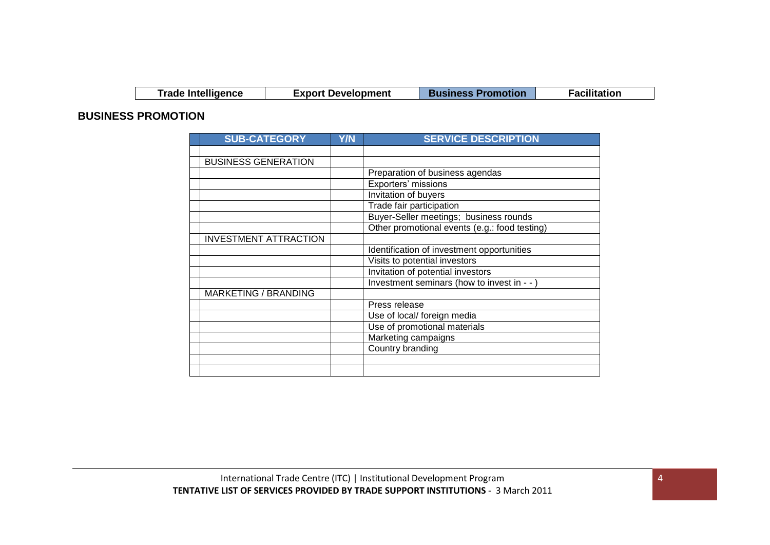| <b>Trade Intelligence</b> | <b>Export Development</b> | <b>Business Promotion</b> | <b>Facilitation</b> |
|---------------------------|---------------------------|---------------------------|---------------------|
|---------------------------|---------------------------|---------------------------|---------------------|

#### **BUSINESS PROMOTION**

| <b>SUB-CATEGORY</b>          | <b>Y/N</b> | <b>SERVICE DESCRIPTION</b>                    |
|------------------------------|------------|-----------------------------------------------|
|                              |            |                                               |
| <b>BUSINESS GENERATION</b>   |            |                                               |
|                              |            | Preparation of business agendas               |
|                              |            | Exporters' missions                           |
|                              |            | Invitation of buyers                          |
|                              |            | Trade fair participation                      |
|                              |            | Buyer-Seller meetings; business rounds        |
|                              |            | Other promotional events (e.g.: food testing) |
| <b>INVESTMENT ATTRACTION</b> |            |                                               |
|                              |            | Identification of investment opportunities    |
|                              |            | Visits to potential investors                 |
|                              |            | Invitation of potential investors             |
|                              |            | Investment seminars (how to invest in - -)    |
| MARKETING / BRANDING         |            |                                               |
|                              |            | Press release                                 |
|                              |            | Use of local/ foreign media                   |
|                              |            | Use of promotional materials                  |
|                              |            | Marketing campaigns                           |
|                              |            | Country branding                              |
|                              |            |                                               |
|                              |            |                                               |